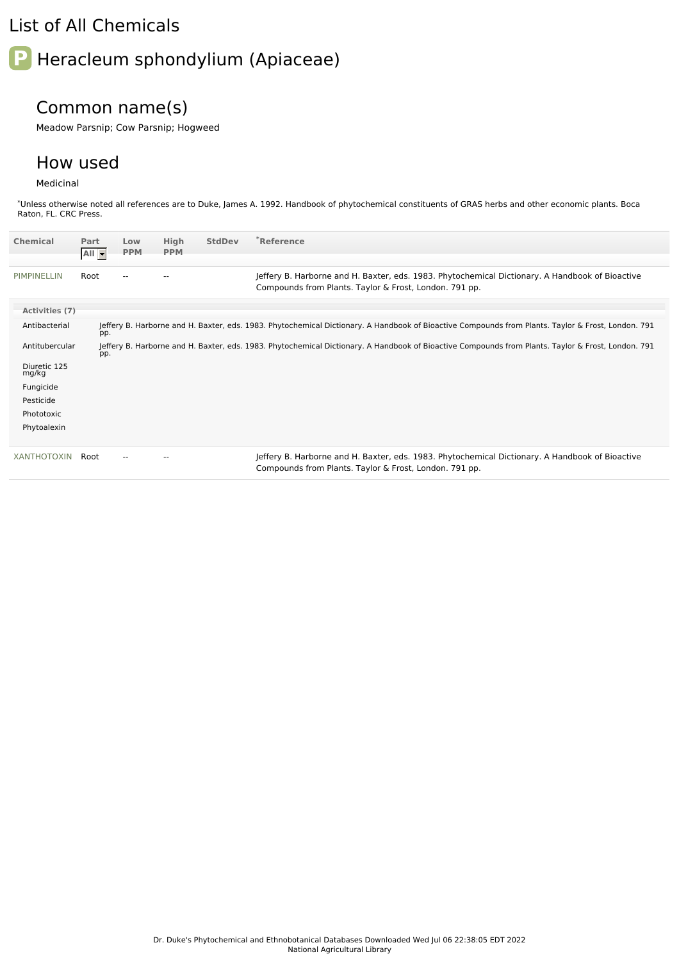## List of All Chemicals

# **P** Heracleum sphondylium (Apiaceae)

## Common name(s)

Meadow Parsnip; Cow Parsnip; Hogweed

### How used

#### Medicinal

\*Unless otherwise noted all references are to Duke, James A. 1992. Handbook of phytochemical constituents of GRAS herbs and other economic plants. Boca Raton, FL. CRC Press.

| <b>Chemical</b>       | Part<br>All - | Low<br><b>PPM</b> | High<br><b>PPM</b> | <b>StdDev</b> | $*$ Reference                                                                                                                                             |
|-----------------------|---------------|-------------------|--------------------|---------------|-----------------------------------------------------------------------------------------------------------------------------------------------------------|
| PIMPINELLIN           | Root          |                   |                    |               | Jeffery B. Harborne and H. Baxter, eds. 1983. Phytochemical Dictionary. A Handbook of Bioactive<br>Compounds from Plants. Taylor & Frost, London. 791 pp. |
| Activities (7)        |               |                   |                    |               |                                                                                                                                                           |
| Antibacterial         | pp.           |                   |                    |               | Jeffery B. Harborne and H. Baxter, eds. 1983. Phytochemical Dictionary. A Handbook of Bioactive Compounds from Plants. Taylor & Frost, London. 791        |
| Antitubercular        | pp.           |                   |                    |               | Jeffery B. Harborne and H. Baxter, eds. 1983. Phytochemical Dictionary. A Handbook of Bioactive Compounds from Plants. Taylor & Frost, London. 791        |
| Diuretic 125<br>mg/kg |               |                   |                    |               |                                                                                                                                                           |
| Fungicide             |               |                   |                    |               |                                                                                                                                                           |
| Pesticide             |               |                   |                    |               |                                                                                                                                                           |
| Phototoxic            |               |                   |                    |               |                                                                                                                                                           |
| Phytoalexin           |               |                   |                    |               |                                                                                                                                                           |
| <b>XANTHOTOXIN</b>    | Root          |                   |                    |               | Jeffery B. Harborne and H. Baxter, eds. 1983. Phytochemical Dictionary. A Handbook of Bioactive<br>Compounds from Plants. Taylor & Frost, London. 791 pp. |